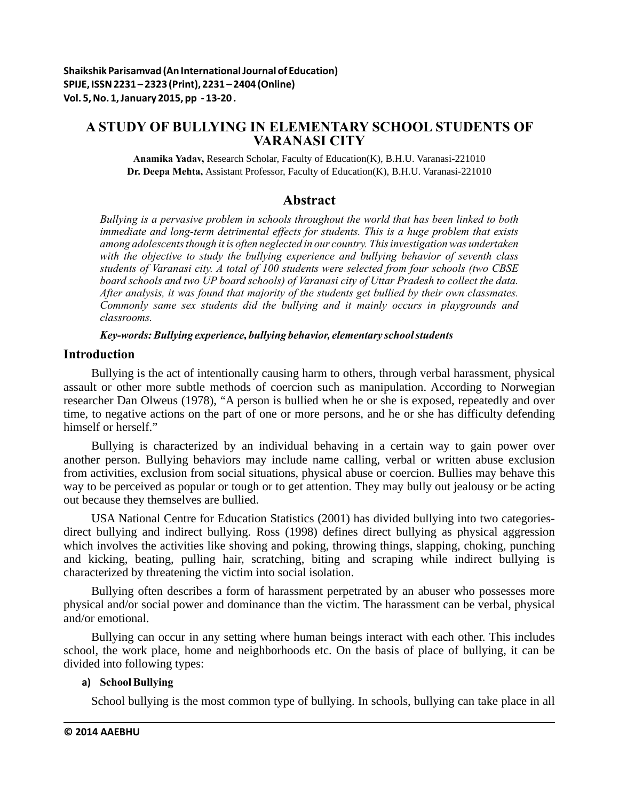# **A STUDY OF BULLYING IN ELEMENTARY SCHOOL STUDENTS OF VARANASI CITY**

**Anamika Yadav,** Research Scholar, Faculty of Education(K), B.H.U. Varanasi-221010 **Dr. Deepa Mehta,** Assistant Professor, Faculty of Education(K), B.H.U. Varanasi-221010

# **Abstract**

*Bullying is a pervasive problem in schools throughout the world that has been linked to both immediate and long-term detrimental effects for students. This is a huge problem that exists among adolescents though it is often neglected in our country. This investigation was undertaken with the objective to study the bullying experience and bullying behavior of seventh class students of Varanasi city. A total of 100 students were selected from four schools (two CBSE board schools and two UP board schools) of Varanasi city of Uttar Pradesh to collect the data. After analysis, it was found that majority of the students get bullied by their own classmates. Commonly same sex students did the bullying and it mainly occurs in playgrounds and classrooms.* 

*Key-words: Bullying experience, bullying behavior, elementary school students*

# **Introduction**

Bullying is the act of intentionally causing harm to others, through verbal harassment, physical assault or other more subtle methods of coercion such as manipulation. According to Norwegian researcher Dan Olweus (1978), "A person is bullied when he or she is exposed, repeatedly and over time, to negative actions on the part of one or more persons, and he or she has difficulty defending himself or herself."

Bullying is characterized by an individual behaving in a certain way to gain power over another person. Bullying behaviors may include name calling, verbal or written abuse exclusion from activities, exclusion from social situations, physical abuse or coercion. Bullies may behave this way to be perceived as popular or tough or to get attention. They may bully out jealousy or be acting out because they themselves are bullied.

USA National Centre for Education Statistics (2001) has divided bullying into two categoriesdirect bullying and indirect bullying. Ross (1998) defines direct bullying as physical aggression which involves the activities like shoving and poking, throwing things, slapping, choking, punching and kicking, beating, pulling hair, scratching, biting and scraping while indirect bullying is characterized by threatening the victim into social isolation.

Bullying often describes a form of harassment perpetrated by an abuser who possesses more physical and/or social power and dominance than the victim. The harassment can be verbal, physical and/or emotional.

Bullying can occur in any setting where human beings interact with each other. This includes school, the work place, home and neighborhoods etc. On the basis of place of bullying, it can be divided into following types:

# **a) School Bullying**

School bullying is the most common type of bullying. In schools, bullying can take place in all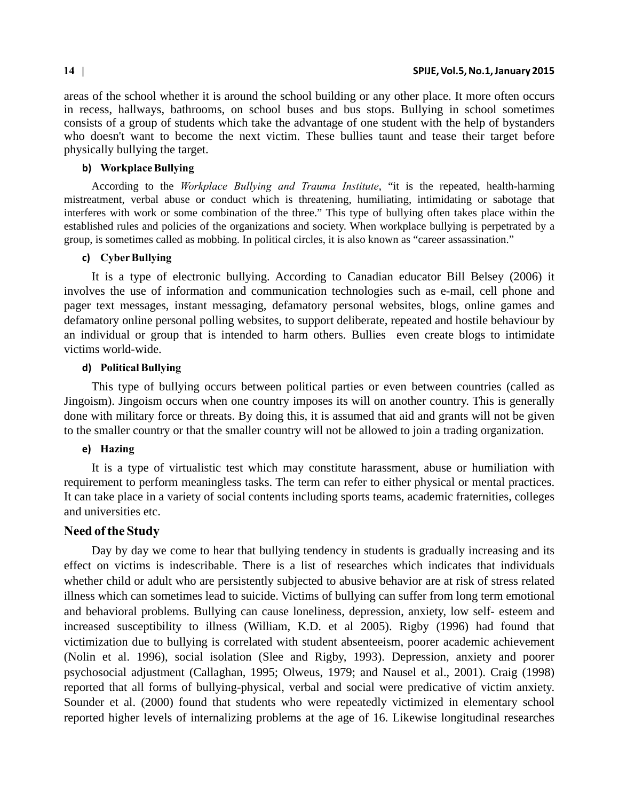areas of the school whether it is around the school building or any other place. It more often occurs in recess, hallways, bathrooms, on school buses and bus stops. Bullying in school sometimes consists of a group of students which take the advantage of one student with the help of bystanders who doesn't want to become the next victim. These bullies taunt and tease their target before physically bullying the target.

### **b) Workplace Bullying**

According to the *Workplace Bullying and Trauma Institute*, "it is the repeated, health-harming mistreatment, verbal abuse or conduct which is threatening, humiliating, intimidating or sabotage that interferes with work or some combination of the three." This type of bullying often takes place within the established rules and policies of the organizations and society. When workplace bullying is perpetrated by a group, is sometimes called as mobbing. In political circles, it is also known as "career assassination."

### **c) Cyber Bullying**

It is a type of electronic bullying. According to Canadian educator Bill Belsey (2006) it involves the use of information and communication technologies such as e-mail, cell phone and pager text messages, instant messaging, defamatory personal websites, blogs, online games and defamatory online personal polling websites, to support deliberate, repeated and hostile behaviour by an individual or group that is intended to harm others. Bullies even create blogs to intimidate victims world-wide.

### **d) Political Bullying**

This type of bullying occurs between political parties or even between countries (called as Jingoism). Jingoism occurs when one country imposes its will on another country. This is generally done with military force or threats. By doing this, it is assumed that aid and grants will not be given to the smaller country or that the smaller country will not be allowed to join a trading organization.

### **e) Hazing**

It is a type of virtualistic test which may constitute harassment, abuse or humiliation with requirement to perform meaningless tasks. The term can refer to either physical or mental practices. It can take place in a variety of social contents including sports teams, academic fraternities, colleges and universities etc.

## **Need of the Study**

Day by day we come to hear that bullying tendency in students is gradually increasing and its effect on victims is indescribable. There is a list of researches which indicates that individuals whether child or adult who are persistently subjected to abusive behavior are at risk of stress related illness which can sometimes lead to suicide. Victims of bullying can suffer from long term emotional and behavioral problems. Bullying can cause loneliness, depression, anxiety, low self- esteem and increased susceptibility to illness (William, K.D. et al 2005). Rigby (1996) had found that victimization due to bullying is correlated with student absenteeism, poorer academic achievement (Nolin et al. 1996), social isolation (Slee and Rigby, 1993). Depression, anxiety and poorer psychosocial adjustment (Callaghan, 1995; Olweus, 1979; and Nausel et al., 2001). Craig (1998) reported that all forms of bullying-physical, verbal and social were predicative of victim anxiety. Sounder et al. (2000) found that students who were repeatedly victimized in elementary school reported higher levels of internalizing problems at the age of 16. Likewise longitudinal researches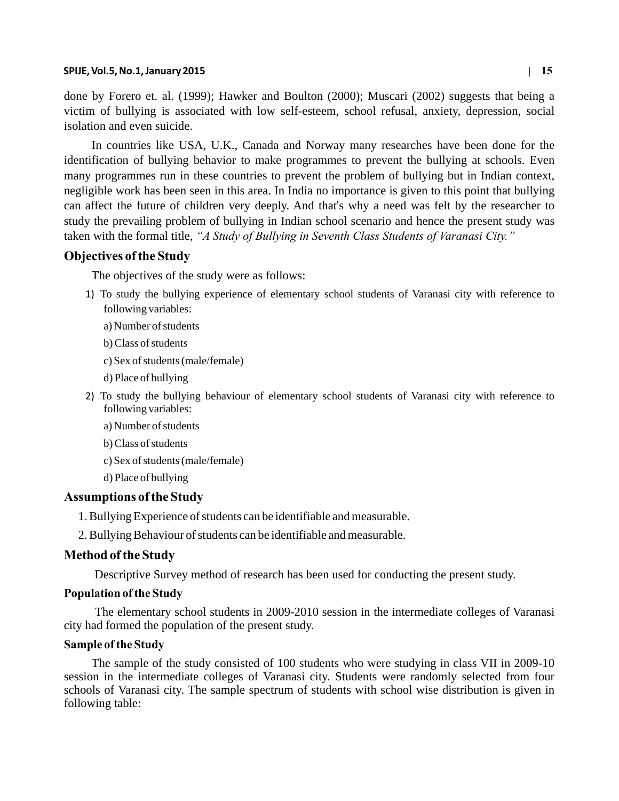#### **SPIJE, Vol.5, No.1, January 2015 | 15**

done by Forero et. al. (1999); Hawker and Boulton (2000); Muscari (2002) suggests that being a victim of bullying is associated with low self-esteem, school refusal, anxiety, depression, social isolation and even suicide.

In countries like USA, U.K., Canada and Norway many researches have been done for the identification of bullying behavior to make programmes to prevent the bullying at schools. Even many programmes run in these countries to prevent the problem of bullying but in Indian context, negligible work has been seen in this area. In India no importance is given to this point that bullying can affect the future of children very deeply. And that's why a need was felt by the researcher to study the prevailing problem of bullying in Indian school scenario and hence the present study was taken with the formal title, *"A Study of Bullying in Seventh Class Students of Varanasi City."*

## **Objectives of the Study**

The objectives of the study were as follows:

- 1) To study the bullying experience of elementary school students of Varanasi city with reference to following variables:
	- a) Number of students
	- b) Class of students
	- c) Sex of students (male/female)
	- d) Place of bullying
- 2) To study the bullying behaviour of elementary school students of Varanasi city with reference to following variables:
	- a) Number of students
	- b) Class of students
	- c) Sex of students (male/female)
	- d) Place of bullying

# **Assumptions of the Study**

- 1. Bullying Experience of students can be identifiable and measurable.
- 2. Bullying Behaviour of students can be identifiable and measurable.

## **Method of the Study**

Descriptive Survey method of research has been used for conducting the present study.

## **Population of the Study**

 The elementary school students in 2009-2010 session in the intermediate colleges of Varanasi city had formed the population of the present study.

## **Sample of the Study**

The sample of the study consisted of 100 students who were studying in class VII in 2009-10 session in the intermediate colleges of Varanasi city. Students were randomly selected from four schools of Varanasi city. The sample spectrum of students with school wise distribution is given in following table: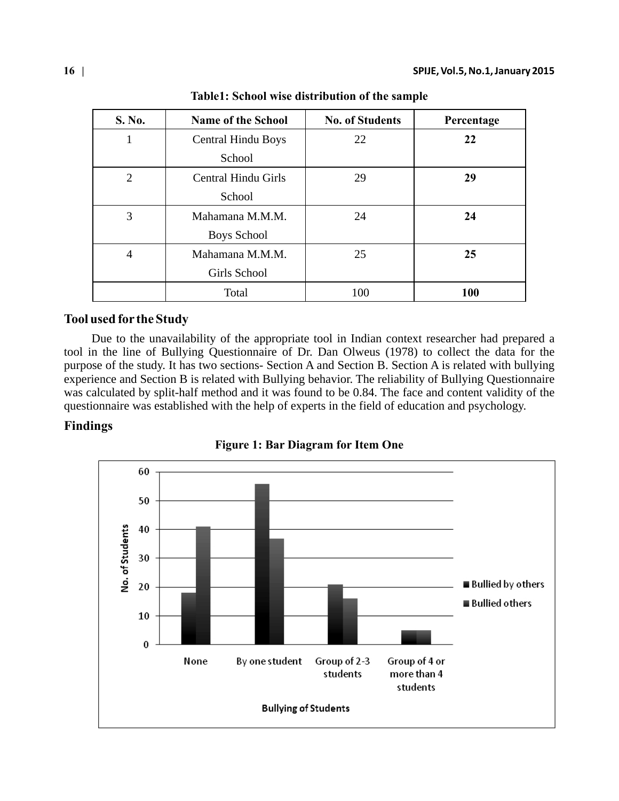| S. No.         | <b>Name of the School</b>  | <b>No. of Students</b> | Percentage |
|----------------|----------------------------|------------------------|------------|
| 1              | <b>Central Hindu Boys</b>  | 22                     | 22         |
|                | School                     |                        |            |
| $\overline{2}$ | <b>Central Hindu Girls</b> | 29                     | 29         |
|                | School                     |                        |            |
| 3              | Mahamana M.M.M.            | 24                     | 24         |
|                | <b>Boys School</b>         |                        |            |
| $\overline{4}$ | Mahamana M.M.M.            | 25                     | 25         |
|                | Girls School               |                        |            |
|                | Total                      | 100                    | <b>100</b> |

**Table1: School wise distribution of the sample**

# **Tool used for the Study**

Due to the unavailability of the appropriate tool in Indian context researcher had prepared a tool in the line of Bullying Questionnaire of Dr. Dan Olweus (1978) to collect the data for the purpose of the study. It has two sections- Section A and Section B. Section A is related with bullying experience and Section B is related with Bullying behavior. The reliability of Bullying Questionnaire was calculated by split-half method and it was found to be 0.84. The face and content validity of the questionnaire was established with the help of experts in the field of education and psychology.

# **Findings**



**Figure 1: Bar Diagram for Item One**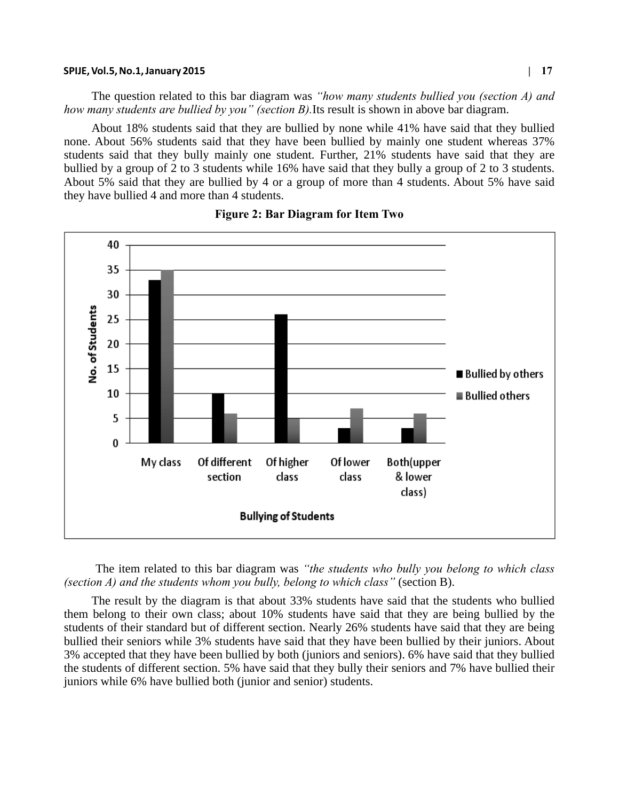#### **SPIJE, Vol.5, No.1, January 2015 | 17**

The question related to this bar diagram was *"how many students bullied you (section A) and how many students are bullied by you" (section B).*Its result is shown in above bar diagram.

About 18% students said that they are bullied by none while 41% have said that they bullied none. About 56% students said that they have been bullied by mainly one student whereas 37% students said that they bully mainly one student. Further, 21% students have said that they are bullied by a group of 2 to 3 students while 16% have said that they bully a group of 2 to 3 students. About 5% said that they are bullied by 4 or a group of more than 4 students. About 5% have said they have bullied 4 and more than 4 students.



#### **Figure 2: Bar Diagram for Item Two**

 The item related to this bar diagram was *"the students who bully you belong to which class (section A) and the students whom you bully, belong to which class"* (section B).

The result by the diagram is that about 33% students have said that the students who bullied them belong to their own class; about 10% students have said that they are being bullied by the students of their standard but of different section. Nearly 26% students have said that they are being bullied their seniors while 3% students have said that they have been bullied by their juniors. About 3% accepted that they have been bullied by both (juniors and seniors). 6% have said that they bullied the students of different section. 5% have said that they bully their seniors and 7% have bullied their juniors while 6% have bullied both (junior and senior) students.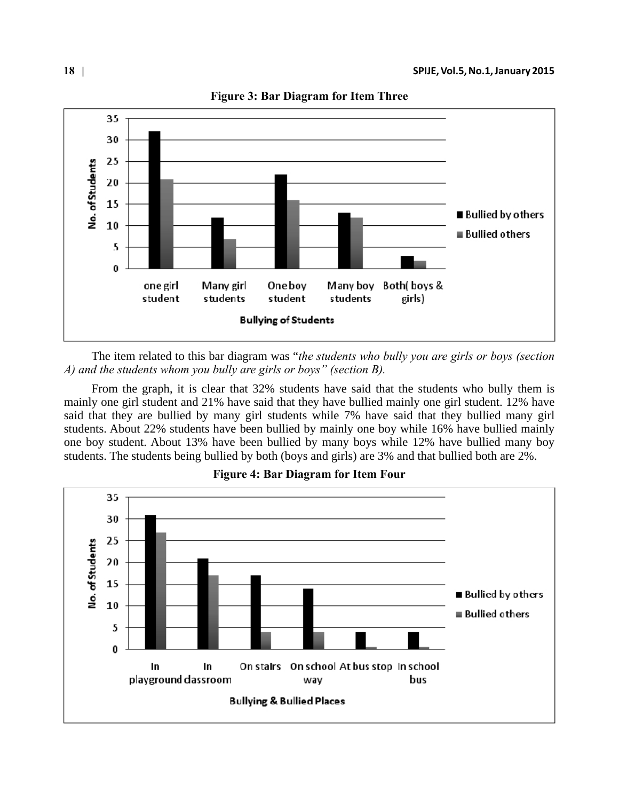

**Figure 3: Bar Diagram for Item Three** 

The item related to this bar diagram was "*the students who bully you are girls or boys (section A) and the students whom you bully are girls or boys" (section B).*

From the graph, it is clear that 32% students have said that the students who bully them is mainly one girl student and 21% have said that they have bullied mainly one girl student. 12% have said that they are bullied by many girl students while 7% have said that they bullied many girl students. About 22% students have been bullied by mainly one boy while 16% have bullied mainly one boy student. About 13% have been bullied by many boys while 12% have bullied many boy students. The students being bullied by both (boys and girls) are 3% and that bullied both are 2%.



# **Figure 4: Bar Diagram for Item Four**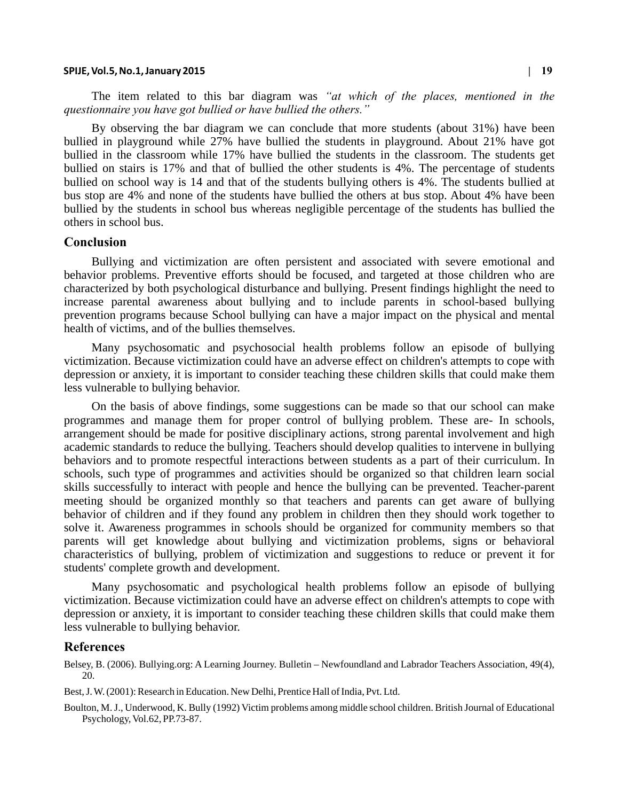#### **SPIJE, Vol.5, No.1, January 2015 | 19**

The item related to this bar diagram was *"at which of the places, mentioned in the questionnaire you have got bullied or have bullied the others."*

By observing the bar diagram we can conclude that more students (about 31%) have been bullied in playground while 27% have bullied the students in playground. About 21% have got bullied in the classroom while 17% have bullied the students in the classroom. The students get bullied on stairs is 17% and that of bullied the other students is 4%. The percentage of students bullied on school way is 14 and that of the students bullying others is 4%. The students bullied at bus stop are 4% and none of the students have bullied the others at bus stop. About 4% have been bullied by the students in school bus whereas negligible percentage of the students has bullied the others in school bus.

#### **Conclusion**

Bullying and victimization are often persistent and associated with severe emotional and behavior problems. Preventive efforts should be focused, and targeted at those children who are characterized by both psychological disturbance and bullying. Present findings highlight the need to increase parental awareness about bullying and to include parents in school-based bullying prevention programs because School bullying can have a major impact on the physical and mental health of victims, and of the bullies themselves.

Many psychosomatic and psychosocial health problems follow an episode of bullying victimization. Because victimization could have an adverse effect on children's attempts to cope with depression or anxiety, it is important to consider teaching these children skills that could make them less vulnerable to bullying behavior.

On the basis of above findings, some suggestions can be made so that our school can make programmes and manage them for proper control of bullying problem. These are- In schools, arrangement should be made for positive disciplinary actions, strong parental involvement and high academic standards to reduce the bullying. Teachers should develop qualities to intervene in bullying behaviors and to promote respectful interactions between students as a part of their curriculum. In schools, such type of programmes and activities should be organized so that children learn social skills successfully to interact with people and hence the bullying can be prevented. Teacher-parent meeting should be organized monthly so that teachers and parents can get aware of bullying behavior of children and if they found any problem in children then they should work together to solve it. Awareness programmes in schools should be organized for community members so that parents will get knowledge about bullying and victimization problems, signs or behavioral characteristics of bullying, problem of victimization and suggestions to reduce or prevent it for students' complete growth and development.

Many psychosomatic and psychological health problems follow an episode of bullying victimization. Because victimization could have an adverse effect on children's attempts to cope with depression or anxiety, it is important to consider teaching these children skills that could make them less vulnerable to bullying behavior.

#### **References**

Belsey, B. (2006). Bullying.org: A Learning Journey. Bulletin – Newfoundland and Labrador Teachers Association, 49(4), 20.

Best, J. W. (2001): Research in Education. New Delhi, Prentice Hall of India, Pvt. Ltd.

Boulton, M. J., Underwood, K. Bully (1992) Victim problems among middle school children. British Journal of Educational Psychology, Vol.62, PP.73-87.